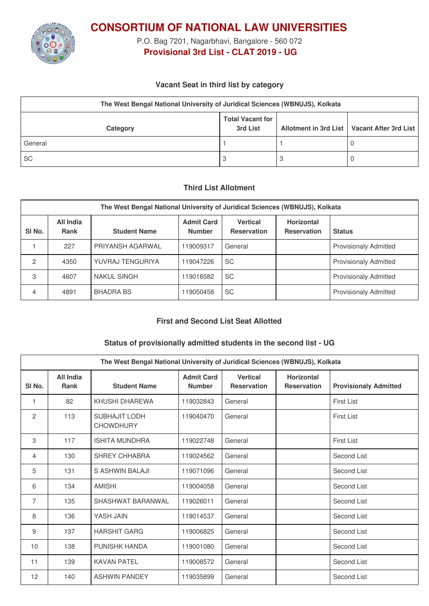

**CONSORTIUM OF NATIONAL LAW UNIVERSITIES**

P.O. Bag 7201, Nagarbhavi, Bangalore - 560 072 **Provisional 3rd List - CLAT 2019 - UG**

## **Vacant Seat in third list by category**

| The West Bengal National University of Juridical Sciences (WBNUJS), Kolkata |                                     |  |                                               |  |  |
|-----------------------------------------------------------------------------|-------------------------------------|--|-----------------------------------------------|--|--|
| Category                                                                    | <b>Total Vacant for</b><br>3rd List |  | Allotment in 3rd List   Vacant After 3rd List |  |  |
| General                                                                     |                                     |  |                                               |  |  |
| <b>SC</b>                                                                   | 3                                   |  |                                               |  |  |

#### **Third List Allotment**

| The West Bengal National University of Juridical Sciences (WBNUJS), Kolkata |                          |                     |                                    |                                       |                                         |                              |  |
|-----------------------------------------------------------------------------|--------------------------|---------------------|------------------------------------|---------------------------------------|-----------------------------------------|------------------------------|--|
| SI <sub>No.</sub>                                                           | All India<br><b>Rank</b> | <b>Student Name</b> | <b>Admit Card</b><br><b>Number</b> | <b>Vertical</b><br><b>Reservation</b> | <b>Horizontal</b><br><b>Reservation</b> | <b>Status</b>                |  |
|                                                                             | 227                      | PRIYANSH AGARWAL    | 119009317                          | General                               |                                         | <b>Provisionaly Admitted</b> |  |
| 2                                                                           | 4350                     | YUVRAJ TENGURIYA    | 119047226                          | <b>SC</b>                             |                                         | <b>Provisionaly Admitted</b> |  |
| 3                                                                           | 4607                     | <b>NAKUL SINGH</b>  | 119016582                          | <b>SC</b>                             |                                         | <b>Provisionaly Admitted</b> |  |
| 4                                                                           | 4891                     | <b>BHADRA BS</b>    | 119050458                          | <b>SC</b>                             |                                         | <b>Provisionaly Admitted</b> |  |

## **First and Second List Seat Allotted**

### **Status of provisionally admitted students in the second list - UG**

| The West Bengal National University of Juridical Sciences (WBNUJS), Kolkata |                   |                                          |                                    |                                       |                                         |                              |
|-----------------------------------------------------------------------------|-------------------|------------------------------------------|------------------------------------|---------------------------------------|-----------------------------------------|------------------------------|
| SI <sub>No.</sub>                                                           | All India<br>Rank | <b>Student Name</b>                      | <b>Admit Card</b><br><b>Number</b> | <b>Vertical</b><br><b>Reservation</b> | <b>Horizontal</b><br><b>Reservation</b> | <b>Provisionaly Admitted</b> |
| 1                                                                           | 82                | KHUSHI DHAREWA                           | 119032843                          | General                               |                                         | <b>First List</b>            |
| 2                                                                           | 113               | <b>SUBHAJIT LODH</b><br><b>CHOWDHURY</b> | 119040470                          | General                               |                                         | First List                   |
| 3                                                                           | 117               | <b>ISHITA MUNDHRA</b>                    | 119022748                          | General                               |                                         | <b>First List</b>            |
| 4                                                                           | 130               | SHREY CHHABRA                            | 119024562                          | General                               |                                         | Second List                  |
| 5                                                                           | 131               | S ASHWIN BALAJI                          | 119071096                          | General                               |                                         | Second List                  |
| 6                                                                           | 134               | <b>AMISHI</b>                            | 119004058                          | General                               |                                         | Second List                  |
| 7                                                                           | 135               | SHASHWAT BARANWAL                        | 119026011                          | General                               |                                         | Second List                  |
| 8                                                                           | 136               | YASH JAIN                                | 119014537                          | General                               |                                         | Second List                  |
| 9                                                                           | 137               | <b>HARSHIT GARG</b>                      | 119006825                          | General                               |                                         | Second List                  |
| 10                                                                          | 138               | <b>PUNISHK HANDA</b>                     | 119001080                          | General                               |                                         | Second List                  |
| 11                                                                          | 139               | <b>KAVAN PATEL</b>                       | 119008572                          | General                               |                                         | Second List                  |
| 12                                                                          | 140               | <b>ASHWIN PANDEY</b>                     | 119035899                          | General                               |                                         | Second List                  |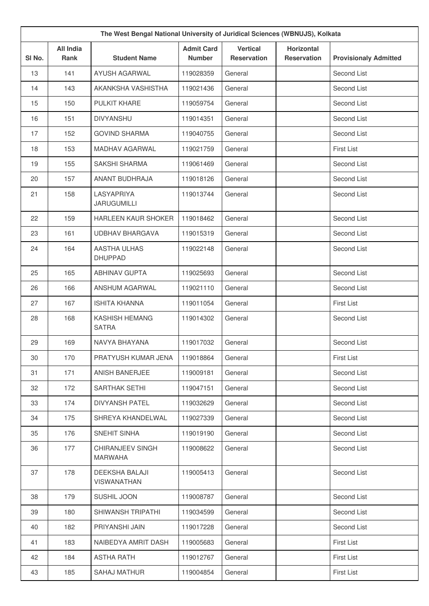| The West Bengal National University of Juridical Sciences (WBNUJS), Kolkata |                                 |                                       |                                    |                                       |                                         |                              |
|-----------------------------------------------------------------------------|---------------------------------|---------------------------------------|------------------------------------|---------------------------------------|-----------------------------------------|------------------------------|
| SI No.                                                                      | <b>All India</b><br><b>Rank</b> | <b>Student Name</b>                   | <b>Admit Card</b><br><b>Number</b> | <b>Vertical</b><br><b>Reservation</b> | <b>Horizontal</b><br><b>Reservation</b> | <b>Provisionaly Admitted</b> |
| 13                                                                          | 141                             | AYUSH AGARWAL                         | 119028359                          | General                               |                                         | Second List                  |
| 14                                                                          | 143                             | AKANKSHA VASHISTHA                    | 119021436                          | General                               |                                         | Second List                  |
| 15                                                                          | 150                             | PULKIT KHARE                          | 119059754                          | General                               |                                         | Second List                  |
| 16                                                                          | 151                             | <b>DIVYANSHU</b>                      | 119014351                          | General                               |                                         | Second List                  |
| 17                                                                          | 152                             | <b>GOVIND SHARMA</b>                  | 119040755                          | General                               |                                         | Second List                  |
| 18                                                                          | 153                             | <b>MADHAV AGARWAL</b>                 | 119021759                          | General                               |                                         | <b>First List</b>            |
| 19                                                                          | 155                             | SAKSHI SHARMA                         | 119061469                          | General                               |                                         | Second List                  |
| 20                                                                          | 157                             | <b>ANANT BUDHRAJA</b>                 | 119018126                          | General                               |                                         | Second List                  |
| 21                                                                          | 158                             | LASYAPRIYA<br><b>JARUGUMILLI</b>      | 119013744                          | General                               |                                         | Second List                  |
| 22                                                                          | 159                             | <b>HARLEEN KAUR SHOKER</b>            | 119018462                          | General                               |                                         | Second List                  |
| 23                                                                          | 161                             | <b>UDBHAV BHARGAVA</b>                | 119015319                          | General                               |                                         | Second List                  |
| 24                                                                          | 164                             | <b>AASTHA ULHAS</b><br><b>DHUPPAD</b> | 119022148                          | General                               |                                         | Second List                  |
| 25                                                                          | 165                             | <b>ABHINAV GUPTA</b>                  | 119025693                          | General                               |                                         | Second List                  |
| 26                                                                          | 166                             | ANSHUM AGARWAL                        | 119021110                          | General                               |                                         | Second List                  |
| 27                                                                          | 167                             | <b>ISHITA KHANNA</b>                  | 119011054                          | General                               |                                         | <b>First List</b>            |
| 28                                                                          | 168                             | <b>KASHISH HEMANG</b><br><b>SATRA</b> | 119014302                          | General                               |                                         | Second List                  |
| 29                                                                          | 169                             | NAVYA BHAYANA                         | 119017032                          | General                               |                                         | Second List                  |
| 30                                                                          | 170                             | PRATYUSH KUMAR JENA                   | 119018864                          | General                               |                                         | <b>First List</b>            |
| 31                                                                          | 171                             | ANISH BANERJEE                        | 119009181                          | General                               |                                         | Second List                  |
| 32                                                                          | 172                             | SARTHAK SETHI                         | 119047151                          | General                               |                                         | Second List                  |
| 33                                                                          | 174                             | <b>DIVYANSH PATEL</b>                 | 119032629                          | General                               |                                         | Second List                  |
| 34                                                                          | 175                             | SHREYA KHANDELWAL                     | 119027339                          | General                               |                                         | Second List                  |
| 35                                                                          | 176                             | SNEHIT SINHA                          | 119019190                          | General                               |                                         | Second List                  |
| 36                                                                          | 177                             | CHIRANJEEV SINGH<br><b>MARWAHA</b>    | 119008622                          | General                               |                                         | Second List                  |
| 37                                                                          | 178                             | <b>DEEKSHA BALAJI</b><br>VISWANATHAN  | 119005413                          | General                               |                                         | Second List                  |
| 38                                                                          | 179                             | SUSHIL JOON                           | 119008787                          | General                               |                                         | Second List                  |
| 39                                                                          | 180                             | SHIWANSH TRIPATHI                     | 119034599                          | General                               |                                         | Second List                  |
| 40                                                                          | 182                             | PRIYANSHI JAIN                        | 119017228                          | General                               |                                         | Second List                  |
| 41                                                                          | 183                             | NAIBEDYA AMRIT DASH                   | 119005683                          | General                               |                                         | <b>First List</b>            |
| 42                                                                          | 184                             | <b>ASTHA RATH</b>                     | 119012767                          | General                               |                                         | <b>First List</b>            |
| 43                                                                          | 185                             | <b>SAHAJ MATHUR</b>                   | 119004854                          | General                               |                                         | <b>First List</b>            |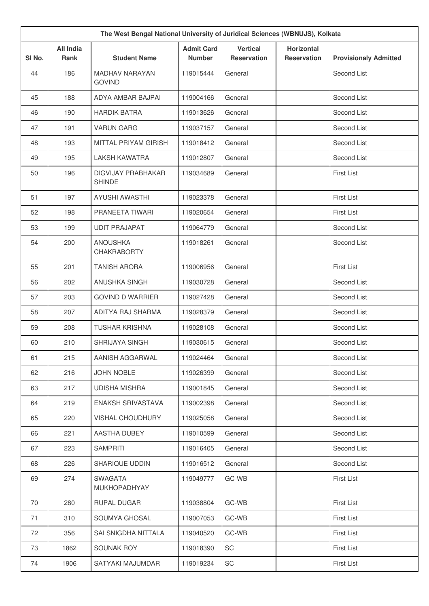| The West Bengal National University of Juridical Sciences (WBNUJS), Kolkata |                          |                                            |                                    |                                       |                                         |                              |
|-----------------------------------------------------------------------------|--------------------------|--------------------------------------------|------------------------------------|---------------------------------------|-----------------------------------------|------------------------------|
| SI No.                                                                      | <b>All India</b><br>Rank | <b>Student Name</b>                        | <b>Admit Card</b><br><b>Number</b> | <b>Vertical</b><br><b>Reservation</b> | <b>Horizontal</b><br><b>Reservation</b> | <b>Provisionaly Admitted</b> |
| 44                                                                          | 186                      | <b>MADHAV NARAYAN</b><br><b>GOVIND</b>     | 119015444                          | General                               |                                         | Second List                  |
| 45                                                                          | 188                      | ADYA AMBAR BAJPAI                          | 119004166                          | General                               |                                         | Second List                  |
| 46                                                                          | 190                      | <b>HARDIK BATRA</b>                        | 119013626                          | General                               |                                         | Second List                  |
| 47                                                                          | 191                      | <b>VARUN GARG</b>                          | 119037157                          | General                               |                                         | Second List                  |
| 48                                                                          | 193                      | MITTAL PRIYAM GIRISH                       | 119018412                          | General                               |                                         | Second List                  |
| 49                                                                          | 195                      | <b>LAKSH KAWATRA</b>                       | 119012807                          | General                               |                                         | Second List                  |
| 50                                                                          | 196                      | <b>DIGVIJAY PRABHAKAR</b><br><b>SHINDE</b> | 119034689                          | General                               |                                         | <b>First List</b>            |
| 51                                                                          | 197                      | <b>AYUSHI AWASTHI</b>                      | 119023378                          | General                               |                                         | <b>First List</b>            |
| 52                                                                          | 198                      | PRANEETA TIWARI                            | 119020654                          | General                               |                                         | <b>First List</b>            |
| 53                                                                          | 199                      | <b>UDIT PRAJAPAT</b>                       | 119064779                          | General                               |                                         | Second List                  |
| 54                                                                          | 200                      | <b>ANOUSHKA</b><br><b>CHAKRABORTY</b>      | 119018261                          | General                               |                                         | Second List                  |
| 55                                                                          | 201                      | <b>TANISH ARORA</b>                        | 119006956                          | General                               |                                         | <b>First List</b>            |
| 56                                                                          | 202                      | ANUSHKA SINGH                              | 119030728                          | General                               |                                         | Second List                  |
| 57                                                                          | 203                      | <b>GOVIND D WARRIER</b>                    | 119027428                          | General                               |                                         | Second List                  |
| 58                                                                          | 207                      | ADITYA RAJ SHARMA                          | 119028379                          | General                               |                                         | Second List                  |
| 59                                                                          | 208                      | <b>TUSHAR KRISHNA</b>                      | 119028108                          | General                               |                                         | Second List                  |
| 60                                                                          | 210                      | SHRIJAYA SINGH                             | 119030615                          | General                               |                                         | Second List                  |
| 61                                                                          | 215                      | AANISH AGGARWAL                            | 119024464                          | General                               |                                         | Second List                  |
| 62                                                                          | 216                      | <b>JOHN NOBLE</b>                          | 119026399                          | General                               |                                         | Second List                  |
| 63                                                                          | 217                      | <b>UDISHA MISHRA</b>                       | 119001845                          | General                               |                                         | Second List                  |
| 64                                                                          | 219                      | ENAKSH SRIVASTAVA                          | 119002398                          | General                               |                                         | Second List                  |
| 65                                                                          | 220                      | <b>VISHAL CHOUDHURY</b>                    | 119025058                          | General                               |                                         | Second List                  |
| 66                                                                          | 221                      | AASTHA DUBEY                               | 119010599                          | General                               |                                         | Second List                  |
| 67                                                                          | 223                      | <b>SAMPRITI</b>                            | 119016405                          | General                               |                                         | Second List                  |
| 68                                                                          | 226                      | SHARIQUE UDDIN                             | 119016512                          | General                               |                                         | Second List                  |
| 69                                                                          | 274                      | <b>SWAGATA</b><br>MUKHOPADHYAY             | 119049777                          | GC-WB                                 |                                         | <b>First List</b>            |
| 70                                                                          | 280                      | RUPAL DUGAR                                | 119038804                          | GC-WB                                 |                                         | First List                   |
| 71                                                                          | 310                      | SOUMYA GHOSAL                              | 119007053                          | GC-WB                                 |                                         | <b>First List</b>            |
| 72                                                                          | 356                      | SAI SNIGDHA NITTALA                        | 119040520                          | GC-WB                                 |                                         | <b>First List</b>            |
| 73                                                                          | 1862                     | SOUNAK ROY                                 | 119018390                          | SC                                    |                                         | <b>First List</b>            |
| 74                                                                          | 1906                     | SATYAKI MAJUMDAR                           | 119019234                          | SC                                    |                                         | First List                   |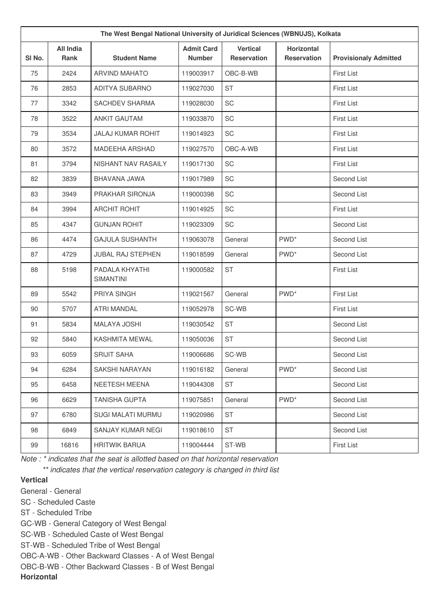| The West Bengal National University of Juridical Sciences (WBNUJS), Kolkata |                                 |                                    |                                    |                                       |                                         |                              |
|-----------------------------------------------------------------------------|---------------------------------|------------------------------------|------------------------------------|---------------------------------------|-----------------------------------------|------------------------------|
| SI No.                                                                      | <b>All India</b><br><b>Rank</b> | <b>Student Name</b>                | <b>Admit Card</b><br><b>Number</b> | <b>Vertical</b><br><b>Reservation</b> | <b>Horizontal</b><br><b>Reservation</b> | <b>Provisionaly Admitted</b> |
| 75                                                                          | 2424                            | <b>ARVIND MAHATO</b>               | 119003917                          | OBC-B-WB                              |                                         | <b>First List</b>            |
| 76                                                                          | 2853                            | <b>ADITYA SUBARNO</b>              | 119027030                          | <b>ST</b>                             |                                         | <b>First List</b>            |
| 77                                                                          | 3342                            | <b>SACHDEV SHARMA</b>              | 119028030                          | SC                                    |                                         | <b>First List</b>            |
| 78                                                                          | 3522                            | <b>ANKIT GAUTAM</b>                | 119033870                          | SC                                    |                                         | <b>First List</b>            |
| 79                                                                          | 3534                            | <b>JALAJ KUMAR ROHIT</b>           | 119014923                          | SC                                    |                                         | <b>First List</b>            |
| 80                                                                          | 3572                            | <b>MADEEHA ARSHAD</b>              | 119027570                          | OBC-A-WB                              |                                         | <b>First List</b>            |
| 81                                                                          | 3794                            | NISHANT NAV RASAILY                | 119017130                          | SC                                    |                                         | <b>First List</b>            |
| 82                                                                          | 3839                            | BHAVANA JAWA                       | 119017989                          | SC                                    |                                         | Second List                  |
| 83                                                                          | 3949                            | PRAKHAR SIRONJA                    | 119000398                          | SC                                    |                                         | Second List                  |
| 84                                                                          | 3994                            | <b>ARCHIT ROHIT</b>                | 119014925                          | SC                                    |                                         | <b>First List</b>            |
| 85                                                                          | 4347                            | <b>GUNJAN ROHIT</b>                | 119023309                          | SC                                    |                                         | Second List                  |
| 86                                                                          | 4474                            | <b>GAJULA SUSHANTH</b>             | 119063078                          | General                               | PWD <sup>*</sup>                        | Second List                  |
| 87                                                                          | 4729                            | <b>JUBAL RAJ STEPHEN</b>           | 119018599                          | General                               | PWD <sup>*</sup>                        | Second List                  |
| 88                                                                          | 5198                            | PADALA KHYATHI<br><b>SIMANTINI</b> | 119000582                          | <b>ST</b>                             |                                         | <b>First List</b>            |
| 89                                                                          | 5542                            | <b>PRIYA SINGH</b>                 | 119021567                          | General                               | PWD <sup>*</sup>                        | <b>First List</b>            |
| 90                                                                          | 5707                            | <b>ATRI MANDAL</b>                 | 119052978                          | SC-WB                                 |                                         | <b>First List</b>            |
| 91                                                                          | 5834                            | <b>MALAYA JOSHI</b>                | 119030542                          | <b>ST</b>                             |                                         | Second List                  |
| 92                                                                          | 5840                            | <b>KASHMITA MEWAL</b>              | 119050036                          | <b>ST</b>                             |                                         | Second List                  |
| 93                                                                          | 6059                            | <b>SRIJIT SAHA</b>                 | 119006686                          | SC-WB                                 |                                         | Second List                  |
| 94                                                                          | 6284                            | SAKSHI NARAYAN                     | 119016182                          | General                               | PWD <sup>*</sup>                        | Second List                  |
| 95                                                                          | 6458                            | NEETESH MEENA                      | 119044308                          | ST                                    |                                         | Second List                  |
| 96                                                                          | 6629                            | <b>TANISHA GUPTA</b>               | 119075851                          | General                               | PWD <sup>*</sup>                        | Second List                  |
| 97                                                                          | 6780                            | SUGI MALATI MURMU                  | 119020986                          | <b>ST</b>                             |                                         | Second List                  |
| 98                                                                          | 6849                            | SANJAY KUMAR NEGI                  | 119018610                          | ST                                    |                                         | Second List                  |
| 99                                                                          | 16816                           | <b>HRITWIK BARUA</b>               | 119004444                          | ST-WB                                 |                                         | First List                   |

*Note : \* indicates that the seat is allotted based on that horizontal reservation*

*\*\* indicates that the vertical reservation category is changed in third list*

# **Vertical**

General - General

SC - Scheduled Caste

ST - Scheduled Tribe

GC-WB - General Category of West Bengal

SC-WB - Scheduled Caste of West Bengal

ST-WB - Scheduled Tribe of West Bengal

OBC-A-WB - Other Backward Classes - A of West Bengal

OBC-B-WB - Other Backward Classes - B of West Bengal

**Horizontal**